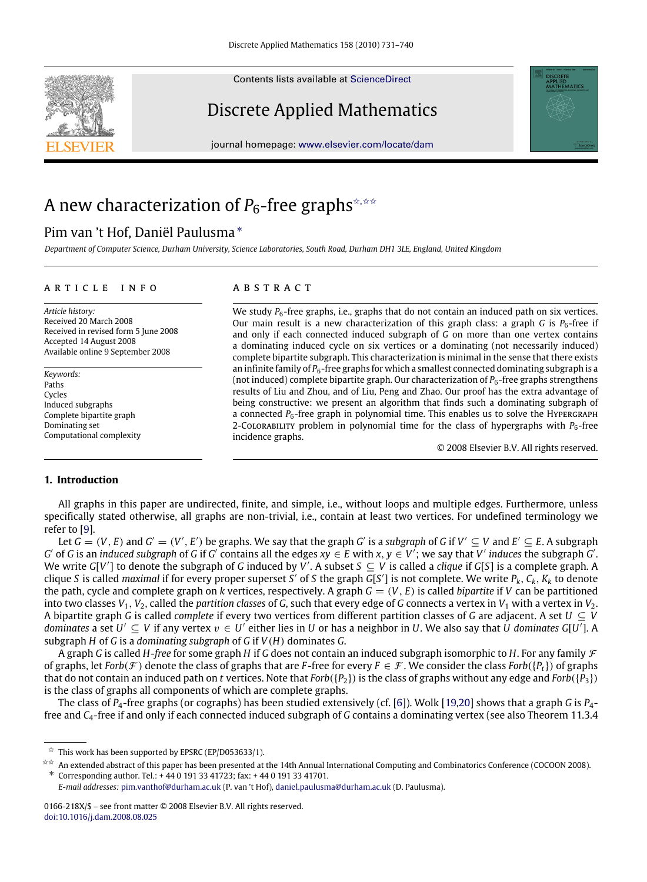Contents lists available at [ScienceDirect](http://www.elsevier.com/locate/dam)

# Discrete Applied Mathematics

journal homepage: [www.elsevier.com/locate/dam](http://www.elsevier.com/locate/dam)

# A new characterization of *P*<sub>6</sub>-free graphs<sup><del>☆,☆☆</del></sup>

# Pim van 't Hof, Daniël Paulusma [∗](#page-0-2)

*Department of Computer Science, Durham University, Science Laboratories, South Road, Durham DH1 3LE, England, United Kingdom*

#### a r t i c l e i n f o

*Article history:* Received 20 March 2008 Received in revised form 5 June 2008 Accepted 14 August 2008 Available online 9 September 2008

*Keywords:* Paths Cycles Induced subgraphs Complete bipartite graph Dominating set Computational complexity

### a b s t r a c t

We study  $P_6$ -free graphs, i.e., graphs that do not contain an induced path on six vertices. Our main result is a new characterization of this graph class: a graph *G* is  $P_6$ -free if and only if each connected induced subgraph of *G* on more than one vertex contains a dominating induced cycle on six vertices or a dominating (not necessarily induced) complete bipartite subgraph. This characterization is minimal in the sense that there exists an infinite family of  $P_6$ -free graphs for which a smallest connected dominating subgraph is a (not induced) complete bipartite graph. Our characterization of  $P_6$ -free graphs strengthens results of Liu and Zhou, and of Liu, Peng and Zhao. Our proof has the extra advantage of being constructive: we present an algorithm that finds such a dominating subgraph of a connected  $P_6$ -free graph in polynomial time. This enables us to solve the Hypergraph 2-Colorability problem in polynomial time for the class of hypergraphs with  $P_6$ -free incidence graphs.

© 2008 Elsevier B.V. All rights reserved.

PPLIED<br>ATHEMATICS

### **1. Introduction**

All graphs in this paper are undirected, finite, and simple, i.e., without loops and multiple edges. Furthermore, unless specifically stated otherwise, all graphs are non-trivial, i.e., contain at least two vertices. For undefined terminology we refer to [\[9\]](#page-9-0).

Let  $G=(V,E)$  and  $G'=(V',E')$  be graphs. We say that the graph  $G'$  is a subgraph of  $G$  if  $V'\subseteq V$  and  $E'\subseteq E.$  A subgraph G' of G is an induced subgraph of G if G' contains all the edges  $xy \in E$  with  $x, y \in V'$ ; we say that V' induces the subgraph G'. We write *G*[V'] to denote the subgraph of *G* induced by V'. A subset  $S \subseteq V$  is called a *clique* if *G*[S] is a complete graph. A clique *S* is called *maximal* if for every proper superset *S'* of *S* the graph  $G[S']$  is not complete. We write  $P_k$ ,  $C_k$ ,  $K_k$  to denote the path, cycle and complete graph on *k* vertices, respectively. A graph  $G = (V, E)$  is called *bipartite* if *V* can be partitioned into two classes  $V_1$ ,  $V_2$ , called the *partition classes* of *G*, such that every edge of *G* connects a vertex in  $V_1$  with a vertex in  $V_2$ . A bipartite graph *G* is called *complete* if every two vertices from different partition classes of *G* are adjacent. A set *U* ⊆ *V dominates* a set  $U' \subseteq V$  if any vertex  $v \in U'$  either lies in *U* or has a neighbor in *U*. We also say that *U* dominates G[U<sup>T</sup>]. A subgraph *H* of *G* is a *dominating subgraph* of *G* if *V*(*H*) dominates *G*.

A graph *G* is called *H*-*free* for some graph *H* if *G* does not contain an induced subgraph isomorphic to *H*. For any family F of graphs, let *Forb*( $\mathcal{F}$ ) denote the class of graphs that are *F*-free for every  $F \in \mathcal{F}$ . We consider the class *Forb*( $\{P_t\}$ ) of graphs that do not contain an induced path on *t* vertices. Note that  $Forb({P_2})$  is the class of graphs without any edge and  $Forb({P_3})$ is the class of graphs all components of which are complete graphs.

The class of *P*4-free graphs (or cographs) has been studied extensively (cf. [\[6\]](#page-9-1)). Wolk [\[19](#page-9-2)[,20\]](#page-9-3) shows that a graph *G* is *P*4 free and *C*4-free if and only if each connected induced subgraph of *G* contains a dominating vertex (see also Theorem 11.3.4



<span id="page-0-0"></span> $\overrightarrow{x}$  This work has been supported by EPSRC (EP/D053633/1).

<span id="page-0-1"></span><sup>✩✩</sup> An extended abstract of this paper has been presented at the 14th Annual International Computing and Combinatorics Conference (COCOON 2008). ∗ Corresponding author. Tel.: + 44 0 191 33 41723; fax: + 44 0 191 33 41701.

<span id="page-0-2"></span>*E-mail addresses:* [pim.vanthof@durham.ac.uk](mailto:pim.vanthof@durham.ac.uk) (P. van 't Hof), [daniel.paulusma@durham.ac.uk](mailto:daniel.paulusma@durham.ac.uk) (D. Paulusma).

<sup>0166-218</sup>X/\$ – see front matter © 2008 Elsevier B.V. All rights reserved. [doi:10.1016/j.dam.2008.08.025](http://dx.doi.org/10.1016/j.dam.2008.08.025)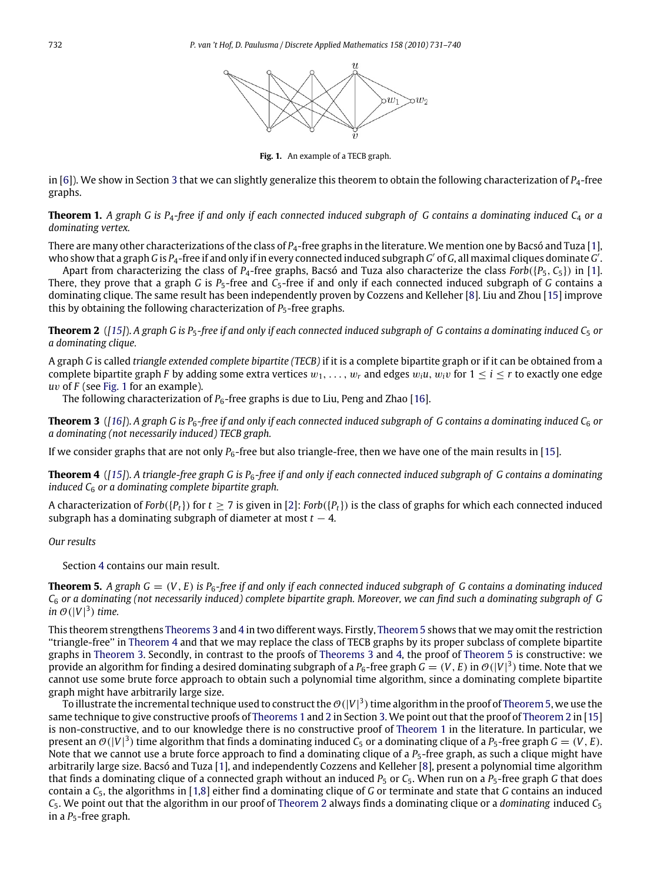

Fig. 1. An example of a TECB graph.

<span id="page-1-0"></span>in [\[6\]](#page-9-1)). We show in Section [3](#page-3-0) that we can slightly generalize this theorem to obtain the following characterization of *P*4-free graphs.

<span id="page-1-4"></span>**Theorem 1.** *A graph G is P*4*-free if and only if each connected induced subgraph of G contains a dominating induced C*<sup>4</sup> *or a dominating vertex.*

There are many other characterizations of the class of *P*4-free graphs in the literature. We mention one by Bacsó and Tuza [\[1\]](#page-9-4), who show that a graph *G* is P<sub>4</sub>-free if and only if in every connected induced subgraph *G'* of *G*, all maximal cliques dominate *G*<sup>'</sup>.

Apart from characterizing the class of  $P_4$ -free graphs, Bacsó and Tuza also characterize the class  $Forb({P_5, C_5})$  in [\[1\]](#page-9-4). There, they prove that a graph *G* is  $P_5$ -free and  $C_5$ -free if and only if each connected induced subgraph of *G* contains a dominating clique. The same result has been independently proven by Cozzens and Kelleher [\[8\]](#page-9-5). Liu and Zhou [\[15\]](#page-9-6) improve this by obtaining the following characterization of  $P_5$ -free graphs.

<span id="page-1-5"></span>**Theorem 2** ([\[15\]](#page-9-6)). A graph G is P<sub>5</sub>-free if and only if each connected induced subgraph of G contains a dominating induced  $C_5$  or *a dominating clique.*

A graph *G* is called *triangle extended complete bipartite (TECB)* if it is a complete bipartite graph or if it can be obtained from a complete bipartite graph *F* by adding some extra vertices  $w_1, \ldots, w_r$  and edges  $w_i u, w_i v$  for  $1 \le i \le r$  to exactly one edge *u*v of *F* (see [Fig. 1](#page-1-0) for an example).

<span id="page-1-1"></span>The following characterization of  $P_6$ -free graphs is due to Liu, Peng and Zhao [\[16\]](#page-9-7).

**Theorem 3** ([\[16\]](#page-9-7)). A graph G is  $P_6$ -free if and only if each connected induced subgraph of G contains a dominating induced  $C_6$  or *a dominating (not necessarily induced) TECB graph.*

If we consider graphs that are not only *P*6-free but also triangle-free, then we have one of the main results in [\[15\]](#page-9-6).

<span id="page-1-2"></span>**Theorem 4** (*[\[15\]](#page-9-6)*). *A triangle-free graph G is P*6*-free if and only if each connected induced subgraph of G contains a dominating induced C*<sup>6</sup> *or a dominating complete bipartite graph.*

A characterization of *Forb*({*Pt*}) for *t* ≥ 7 is given in [\[2\]](#page-9-8): *Forb*({*Pt*}) is the class of graphs for which each connected induced subgraph has a dominating subgraph of diameter at most  $t - 4$ .

## *Our results*

<span id="page-1-3"></span>Section [4](#page-4-0) contains our main result.

**Theorem 5.** A graph  $G = (V, E)$  is  $P_6$ -free if and only if each connected induced subgraph of G contains a dominating induced *C*<sup>6</sup> *or a dominating (not necessarily induced) complete bipartite graph. Moreover, we can find such a dominating subgraph of G* in  $\mathcal{O}(|V|^3)$  time.

This theorem strengthens [Theorems 3](#page-1-1) and [4](#page-1-2) in two different ways. Firstly, [Theorem 5](#page-1-3) shows that we may omit the restriction ''triangle-free'' in [Theorem 4](#page-1-2) and that we may replace the class of TECB graphs by its proper subclass of complete bipartite graphs in [Theorem 3.](#page-1-1) Secondly, in contrast to the proofs of [Theorems 3](#page-1-1) and [4,](#page-1-2) the proof of [Theorem 5](#page-1-3) is constructive: we provide an algorithm for finding a desired dominating subgraph of a P<sub>6</sub>-free graph  $G=(V,E)$  in  $\mathcal{O}(|V|^3)$  time. Note that we cannot use some brute force approach to obtain such a polynomial time algorithm, since a dominating complete bipartite graph might have arbitrarily large size.

To illustrate the incremental technique used to construct the  $\mathcal{O}(|V|^3)$  time algorithm in the proof of [Theorem 5,](#page-1-3) we use the same technique to give constructive proofs of [Theorems 1](#page-1-4) and [2](#page-1-5) in Section [3.](#page-3-0) We point out that the proof of [Theorem 2](#page-1-5) in [\[15\]](#page-9-6) is non-constructive, and to our knowledge there is no constructive proof of [Theorem 1](#page-1-4) in the literature. In particular, we present an  $\mathcal{O}(|V|^3)$  time algorithm that finds a dominating induced  $C_5$  or a dominating clique of a  $P_5$ -free graph  $G = (V, E)$ . Note that we cannot use a brute force approach to find a dominating clique of a *P<sub>5</sub>*-free graph, as such a clique might have arbitrarily large size. Bacsó and Tuza [\[1\]](#page-9-4), and independently Cozzens and Kelleher [\[8\]](#page-9-5), present a polynomial time algorithm that finds a dominating clique of a connected graph without an induced  $P_5$  or  $C_5$ . When run on a  $P_5$ -free graph G that does contain a *C*5, the algorithms in [\[1,](#page-9-4)[8\]](#page-9-5) either find a dominating clique of *G* or terminate and state that *G* contains an induced *C*5. We point out that the algorithm in our proof of [Theorem 2](#page-1-5) always finds a dominating clique or a *dominating* induced *C*<sup>5</sup> in a *P*<sub>5</sub>-free graph.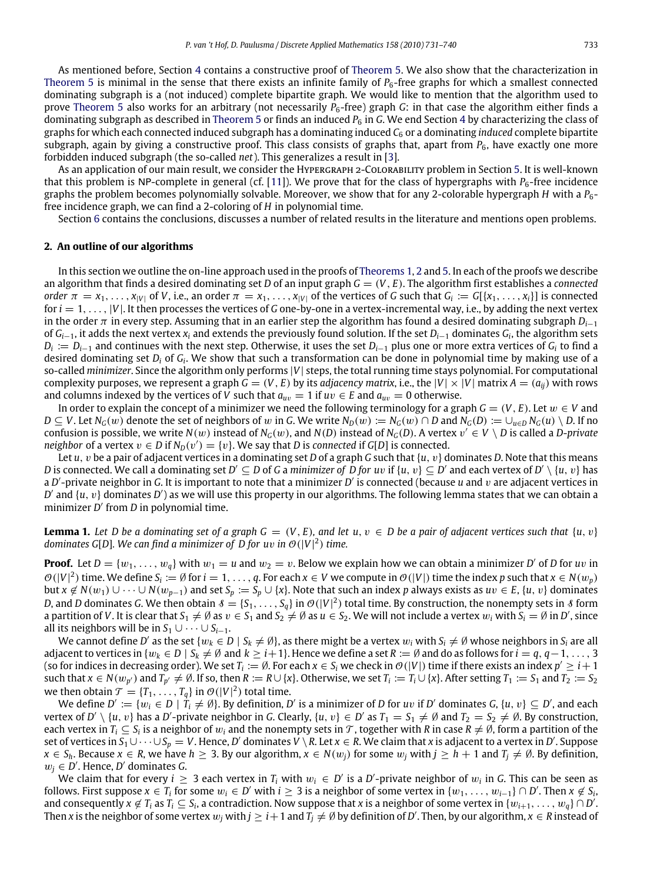As mentioned before, Section [4](#page-4-0) contains a constructive proof of [Theorem 5.](#page-1-3) We also show that the characterization in [Theorem 5](#page-1-3) is minimal in the sense that there exists an infinite family of *P*6-free graphs for which a smallest connected dominating subgraph is a (not induced) complete bipartite graph. We would like to mention that the algorithm used to prove [Theorem 5](#page-1-3) also works for an arbitrary (not necessarily  $P_6$ -free) graph *G*: in that case the algorithm either finds a dominating subgraph as described in [Theorem 5](#page-1-3) or finds an induced  $P_6$  in *G*. We end Section [4](#page-4-0) by characterizing the class of graphs for which each connected induced subgraph has a dominating induced *C*<sup>6</sup> or a dominating *induced* complete bipartite subgraph, again by giving a constructive proof. This class consists of graphs that, apart from  $P_6$ , have exactly one more forbidden induced subgraph (the so-called *net*). This generalizes a result in [\[3\]](#page-9-9).

As an application of our main result, we consider the Hypergraph 2-Colorability problem in Section [5.](#page-7-0) It is well-known that this problem is NP-complete in general (cf. [\[11\]](#page-9-10)). We prove that for the class of hypergraphs with *P<sub>6</sub>*-free incidence graphs the problem becomes polynomially solvable. Moreover, we show that for any 2-colorable hypergraph *H* with a *P*6 free incidence graph, we can find a 2-coloring of *H* in polynomial time.

Section [6](#page-8-0) contains the conclusions, discusses a number of related results in the literature and mentions open problems.

#### <span id="page-2-1"></span>**2. An outline of our algorithms**

In this section we outline the on-line approach used in the proofs of [Theorems 1,](#page-1-4) [2](#page-1-5) and [5.](#page-1-3) In each of the proofs we describe an algorithm that finds a desired dominating set *D* of an input graph *G* = (*V*, *E*). The algorithm first establishes a *connected* order  $\pi = x_1, \ldots, x_{|V|}$  of V, i.e., an order  $\pi = x_1, \ldots, x_{|V|}$  of the vertices of G such that  $G_i := G[\{x_1, \ldots, x_i\}]$  is connected for  $i = 1, \ldots, |V|$ . It then processes the vertices of *G* one-by-one in a vertex-incremental way, i.e., by adding the next vertex in the order  $\pi$  in every step. Assuming that in an earlier step the algorithm has found a desired dominating subgraph  $D_{i-1}$ of *Gi*−1, it adds the next vertex *x<sup>i</sup>* and extends the previously found solution. If the set *Di*−<sup>1</sup> dominates *G<sup>i</sup>* , the algorithm sets *Di* := *Di*−<sup>1</sup> and continues with the next step. Otherwise, it uses the set *Di*−<sup>1</sup> plus one or more extra vertices of *G<sup>i</sup>* to find a desired dominating set *D<sup>i</sup>* of *G<sup>i</sup>* . We show that such a transformation can be done in polynomial time by making use of a so-called *minimizer*. Since the algorithm only performs |*V*| steps, the total running time stays polynomial. For computational complexity purposes, we represent a graph  $G = (V, E)$  by its *adjacency matrix*, i.e., the  $|V| \times |V|$  matrix  $A = (a_{ii})$  with rows and columns indexed by the vertices of *V* such that  $a_{uv} = 1$  if  $uv \in E$  and  $a_{uv} = 0$  otherwise.

In order to explain the concept of a minimizer we need the following terminology for a graph  $G = (V, E)$ . Let  $w \in V$  and  $D \subseteq V$ . Let  $N_G(w)$  denote the set of neighbors of w in G. We write  $N_D(w) := N_G(w) \cap D$  and  $N_G(D) := \bigcup_{u \in D} N_G(u) \setminus D$ . If no confusion is possible, we write  $N(w)$  instead of  $N_G(w)$ , and  $N(D)$  instead of  $N_G(D)$ . A vertex  $v' \in V \setminus D$  is called a *D-private neighbor* of a vertex  $v \in D$  if  $N_D(v') = \{v\}$ . We say that *D* is *connected* if *G*[*D*] is connected.

Let *u*, v be a pair of adjacent vertices in a dominating set *D* of a graph *G* such that {*u*, v} dominates *D*. Note that this means *D* is connected. We call a dominating set  $D'\subseteq D$  of G a minimizer of D for uv if  $\{u,v\}\subseteq D'$  and each vertex of  $D'\setminus\{u,v\}$  has a D'-private neighbor in G. It is important to note that a minimizer D' is connected (because *u* and v are adjacent vertices in  $D'$  and  $\{u, v\}$  dominates  $D'$ ) as we will use this property in our algorithms. The following lemma states that we can obtain a minimizer *D'* from *D* in polynomial time.

<span id="page-2-0"></span>**Lemma 1.** Let D be a dominating set of a graph  $G = (V, E)$ , and let  $u, v \in D$  be a pair of adjacent vertices such that  $\{u, v\}$ *dominates G[D]. We can find a minimizer of D for*  $uv$  *in*  $O(|V|^2)$  *time.* 

**Proof.** Let  $D = \{w_1, \ldots, w_q\}$  with  $w_1 = u$  and  $w_2 = v$ . Below we explain how we can obtain a minimizer D' of D for uv in  $\mathcal{O}(|V|^2)$  time. We define  $S_i := \emptyset$  for  $i = 1, \ldots, q$ . For each  $x \in V$  we compute in  $\mathcal{O}(|V|)$  time the index p such that  $x \in N(w_p)$ but *x* ∉ *N*(*w*<sub>1</sub>) ∪ · · · ∪ *N*(*w*<sub>*p*−1</sub>) and set *S*<sub>*p*</sub> := *S*<sub>*p*</sub> ∪ {*x*}. Note that such an index *p* always exists as *uv* ∈ *E*, {*u*, *v*} dominates *D*, and *D* dominates *G*. We then obtain  $\delta = \{S_1, \ldots, S_q\}$  in  $\mathcal{O}(|V|^2)$  total time. By construction, the nonempty sets in  $\delta$  form a partition of *V*. It is clear that  $S_1\neq\emptyset$  as  $v\in S_1$  and  $S_2\neq\emptyset$  as  $u\in S_2$ . We will not include a vertex  $w_i$  with  $S_i=\emptyset$  in  $D'$ , since all its neighbors will be in  $S_1 \cup \cdots \cup S_{i-1}$ .

We cannot define D' as the set { $w_k \in D \mid S_k \neq \emptyset$ }, as there might be a vertex  $w_i$  with  $S_i \neq \emptyset$  whose neighbors in  $S_i$  are all adjacent to vertices in  $\{w_k \in D \mid S_k \neq \emptyset \}$  and  $k \geq i+1\}$ . Hence we define a set  $R := \emptyset$  and do as follows for  $i = q, q-1, \ldots, 3$ (so for indices in decreasing order). We set  $T_i:=\emptyset$ . For each  $x\in S_i$  we check in  $\mathcal{O}(|V|)$  time if there exists an index  $p'\geq i+1$ such that  $x \in N(w_{p'})$  and  $T_{p'} \neq \emptyset$ . If so, then  $R := R \cup \{x\}$ . Otherwise, we set  $T_i := T_i \cup \{x\}$ . After setting  $T_1 := S_1$  and  $T_2 := S_2$ we then obtain  $\mathcal{T} = \{T_1, \ldots, T_q\}$  in  $\mathcal{O}(|V|^2)$  total time.

We define  $D' := \{w_i \in D \mid T_i \neq \emptyset\}$ . By definition,  $D'$  is a minimizer of D for  $uv$  if  $D'$  dominates  $G$ ,  $\{u, v\} \subseteq D'$ , and each vertex of  $D' \setminus \{u, v\}$  has a  $D'$ -private neighbor in *G*. Clearly,  $\{u, v\} \in D'$  as  $T_1 = S_1 \neq \emptyset$  and  $T_2 = S_2 \neq \emptyset$ . By construction, each vertex in  $T_i\subseteq S_i$  is a neighbor of  $w_i$  and the nonempty sets in  $\mathcal T$ , together with  $R$  in case  $R\neq\emptyset$ , form a partition of the  $s$ et of vertices in  $S_1\cup\cdots\cup S_p=V$ . Hence, D' dominates  $V\setminus R$ . Let  $x\in R$ . We claim that  $x$  is adjacent to a vertex in D'. Suppose  $x \in S_h$ . Because  $x \in R$ , we have  $h \geq 3$ . By our algorithm,  $x \in N(w_j)$  for some  $w_j$  with  $j \geq h+1$  and  $T_j \neq \emptyset$ . By definition,  $w_j \in D'$ . Hence, *D'* dominates *G*.

We claim that for every  $i \geq 3$  each vertex in  $T_i$  with  $w_i \in D'$  is a D'-private neighbor of  $w_i$  in G. This can be seen as follows. First suppose  $x \in T_i$  for some  $w_i \in D'$  with  $i \geq 3$  is a neighbor of some vertex in  $\{w_1, \ldots, w_{i-1}\} \cap D'$ . Then  $x \notin S_i$ , and consequently  $x \not\in T_i$  as  $T_i \subseteq S_i$ , a contradiction. Now suppose that *x* is a neighbor of some vertex in  $\{w_{i+1}, \ldots, w_q\} \cap D'$ . Then *x* is the neighbor of some vertex  $w_j$  with  $j\geq i+1$  and  $T_j\neq\emptyset$  by definition of  $D'$ . Then, by our algorithm,  $x\in R$  instead of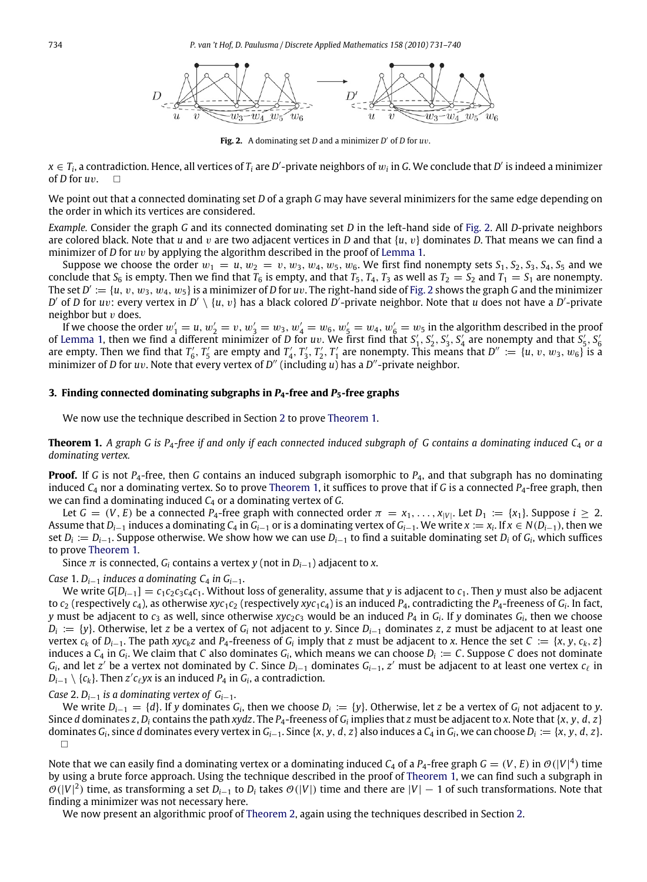<span id="page-3-1"></span>

Fig. 2. A dominating set *D* and a minimizer *D'* of *D* for *uv*.

 $x \in T_i$ , a contradiction. Hence, all vertices of  $T_i$  are  $D'$ -private neighbors of  $w_i$  in  $G$ . We conclude that  $D'$  is indeed a minimizer of *D* for *u*v.

We point out that a connected dominating set *D* of a graph *G* may have several minimizers for the same edge depending on the order in which its vertices are considered.

*Example.* Consider the graph *G* and its connected dominating set *D* in the left-hand side of [Fig. 2.](#page-3-1) All *D*-private neighbors are colored black. Note that *u* and v are two adjacent vertices in *D* and that {*u*, v} dominates *D*. That means we can find a minimizer of *D* for *u*v by applying the algorithm described in the proof of [Lemma 1.](#page-2-0)

Suppose we choose the order  $w_1 = u$ ,  $w_2 = v$ ,  $w_3$ ,  $w_4$ ,  $w_5$ ,  $w_6$ . We first find nonempty sets  $S_1$ ,  $S_2$ ,  $S_3$ ,  $S_4$ ,  $S_5$  and we conclude that  $S_6$  is empty. Then we find that  $T_6$  is empty, and that  $T_5$ ,  $T_4$ ,  $T_3$  as well as  $T_2 = S_2$  and  $T_1 = S_1$  are nonempty. The set  $D' := \{u, v, w_3, w_4, w_5\}$  is a minimizer of *D* for  $uv$ . The right-hand side of [Fig. 2](#page-3-1) shows the graph *G* and the minimizer *D*' of *D* for *uv*: every vertex in *D'* \ {*u*, *v*} has a black colored *D'*-private neighbor. Note that *u* does not have a *D'*-private neighbor but  $v$  does.

If we choose the order  $w'_1 = u, w'_2 = v, w'_3 = w_3, w'_4 = w_6, w'_5 = w_4, w'_6 = w_5$  in the algorithm described in the proof of [Lemma 1,](#page-2-0) then we find a different minimizer of *D* for *uv*. We first find that  $S'_1$ ,  $S'_2$ ,  $S'_3$ ,  $S'_4$  are nonempty and that  $S'_5$ ,  $S'_6$ are empty. Then we find that  $T'_6$ ,  $T'_5$  are empty and  $T'_4$ ,  $T'_3$ ,  $T'_2$ ,  $T'_1$  are nonempty. This means that  $D'' := \{u, v, w_3, w_6\}$  is a minimizer of *D* for *uv*. Note that every vertex of *D''* (including *u*) has a *D''*-private neighbor.

#### <span id="page-3-0"></span>**3. Finding connected dominating subgraphs in** *P***4-free and** *P***5-free graphs**

We now use the technique described in Section [2](#page-2-1) to prove [Theorem 1.](#page-1-4)

**Theorem 1.** A graph G is  $P_4$ -free if and only if each connected induced subgraph of G contains a dominating induced  $C_4$  or a *dominating vertex.*

**Proof.** If *G* is not *P*4-free, then *G* contains an induced subgraph isomorphic to *P*4, and that subgraph has no dominating induced *C*<sup>4</sup> nor a dominating vertex. So to prove [Theorem 1,](#page-1-4) it suffices to prove that if *G* is a connected *P*4-free graph, then we can find a dominating induced *C*<sup>4</sup> or a dominating vertex of *G*.

Let  $G = (V, E)$  be a connected  $P_4$ -free graph with connected order  $\pi = x_1, \ldots, x_{|V|}$ . Let  $D_1 := \{x_1\}$ . Suppose  $i \geq 2$ . Assume that  $D_{i-1}$  induces a dominating  $C_4$  in  $G_{i-1}$  or is a dominating vertex of  $G_{i-1}$ . We write  $x := x_i$ . If  $x \in N(D_{i-1})$ , then we set *D<sup>i</sup>* := *Di*−1. Suppose otherwise. We show how we can use *Di*−<sup>1</sup> to find a suitable dominating set *D<sup>i</sup>* of *G<sup>i</sup>* , which suffices to prove [Theorem 1.](#page-1-4)

Since  $\pi$  is connected,  $G_i$  contains a vertex *y* (not in  $D_{i-1}$ ) adjacent to *x*.

*Case* 1.  $D_{i-1}$  *induces a dominating C<sub>4</sub> <i>in G*<sub>*i*−1</sub>.

We write  $G[D_{i-1}] = c_1c_2c_3c_4c_1$ . Without loss of generality, assume that *y* is adjacent to *c*<sub>1</sub>. Then *y* must also be adjacent to  $c_2$  (respectively  $c_4$ ), as otherwise  $xyz_1c_2$  (respectively  $xyz_1c_4$ ) is an induced  $P_4$ , contradicting the  $P_4$ -freeness of  $G_i$ . In fact, *y* must be adjacent to *c*<sup>3</sup> as well, since otherwise *xyc*2*c*<sup>3</sup> would be an induced *P*<sup>4</sup> in *G<sup>i</sup>* . If *y* dominates *G<sup>i</sup>* , then we choose *Di* := {*y*}. Otherwise, let *z* be a vertex of *G<sup>i</sup>* not adjacent to *y*. Since *Di*−<sup>1</sup> dominates *z*, *z* must be adjacent to at least one vertex  $c_k$  of  $D_{i-1}$ . The path xyc<sub>k</sub>z and P<sub>4</sub>-freeness of  $G_i$  imply that z must be adjacent to x. Hence the set  $C := \{x, y, c_k, z\}$ induces a  $C_4$  in  $G_i$ . We claim that C also dominates  $G_i$ , which means we can choose  $D_i := C$ . Suppose C does not dominate  $G_i$ , and let *z'* be a vertex not dominated by *C*. Since  $D_{i-1}$  dominates  $G_{i-1}$ , *z'* must be adjacent to at least one vertex  $c_\ell$  in  $D_{i-1} \setminus \{c_k\}$ . Then  $z'c_\ell yx$  is an induced  $P_4$  in  $G_i$ , a contradiction.

*Case* 2.  $D_{i-1}$  *is a dominating vertex of G*<sub>*i*−1</sub>.

We write  $D_{i-1} = \{d\}$ . If *y* dominates  $G_i$ , then we choose  $D_i := \{y\}$ . Otherwise, let *z* be a vertex of  $G_i$  not adjacent to *y*. Since d dominates z, D<sub>i</sub> contains the path xydz. The P<sub>4</sub>-freeness of G<sub>i</sub> implies that z must be adjacent to x. Note that {x, y, d, z} dominates G<sub>i</sub>, since d dominates every vertex in G<sub>i-1</sub>. Since {x, y, d, z} also induces a C<sub>4</sub> in G<sub>i</sub>, we can choose  $D_i := \{x, y, d, z\}$ .  $\Box$ 

Note that we can easily find a dominating vertex or a dominating induced  $C_4$  of a P<sub>4</sub>-free graph  $G=(V,E)$  in  $\mathcal{O}(|V|^4)$  time by using a brute force approach. Using the technique described in the proof of [Theorem 1,](#page-1-4) we can find such a subgraph in  $\mathcal{O}(|V|^2)$  time, as transforming a set  $D_{i-1}$  to  $D_i$  takes  $\mathcal{O}(|V|)$  time and there are  $|V|-1$  of such transformations. Note that finding a minimizer was not necessary here.

We now present an algorithmic proof of [Theorem 2,](#page-1-5) again using the techniques described in Section [2.](#page-2-1)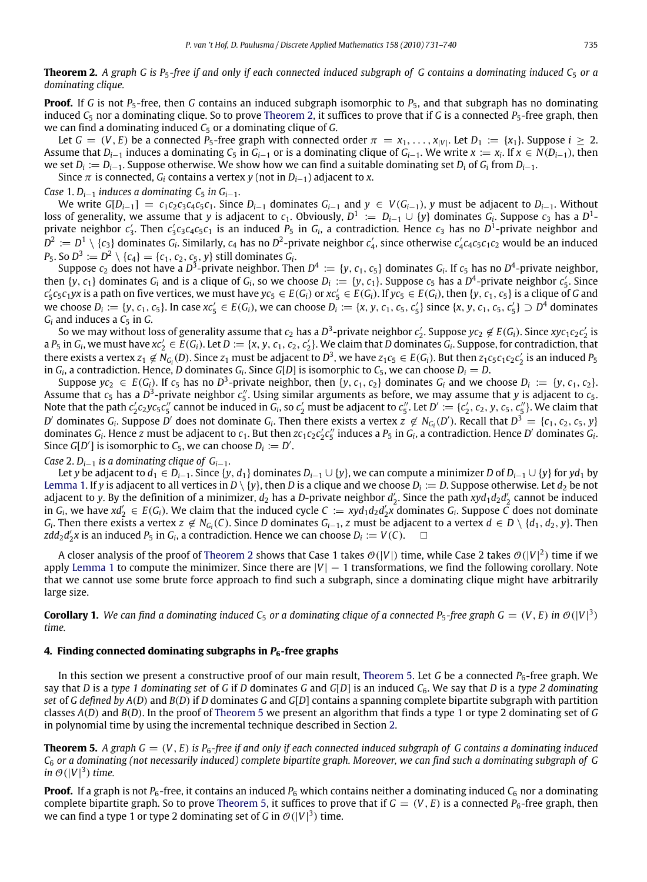**Proof.** If *G* is not *P*<sub>5</sub>-free, then *G* contains an induced subgraph isomorphic to *P*<sub>5</sub>, and that subgraph has no dominating induced  $C_5$  nor a dominating clique. So to prove [Theorem 2,](#page-1-5) it suffices to prove that if *G* is a connected  $P_5$ -free graph, then we can find a dominating induced *C*<sup>5</sup> or a dominating clique of *G*.

Let  $G = (V, E)$  be a connected  $P_5$ -free graph with connected order  $\pi = x_1, \ldots, x_{|V|}$ . Let  $D_1 := \{x_1\}$ . Suppose  $i \geq 2$ . Assume that  $D_{i-1}$  induces a dominating  $C_5$  in  $G_{i-1}$  or is a dominating clique of  $G_{i-1}$ . We write  $x := x_i$ . If  $x \in N(D_{i-1})$ , then we set *D<sup>i</sup>* := *Di*−1. Suppose otherwise. We show how we can find a suitable dominating set *D<sup>i</sup>* of *G<sup>i</sup>* from *Di*−1.

Since  $\pi$  is connected,  $G_i$  contains a vertex *y* (not in  $D_{i-1}$ ) adjacent to *x*.

*Case* 1.  $D_{i-1}$  *induces a dominating C<sub>5</sub> <i>in G*<sub>*i*−1</sub>.

We write  $G[D_{i-1}] = c_1c_2c_3c_4c_5c_1$ . Since  $D_{i-1}$  dominates  $G_{i-1}$  and  $y \in V(G_{i-1})$ , y must be adjacent to  $D_{i-1}$ . Without loss of generality, we assume that *y* is adjacent to  $c_1$ . Obviously,  $D^1 := D_{i-1} \cup \{y\}$  dominates  $G_i$ . Suppose  $c_3$  has a  $D^1$ private neighbor  $c'_3$ . Then  $c'_3c_3c_4c_5c_1$  is an induced  $P_5$  in  $G_i$ , a contradiction. Hence  $c_3$  has no  $D^1$ -private neighbor and  $D^2 := D^1 \setminus \{c_3\}$  dominates  $G_i$ . Similarly,  $c_4$  has no  $D^2$ -private neighbor  $c'_4$ , since otherwise  $c'_4c_4c_5c_1c_2$  would be an induced  $P_5$ . So  $D^3 \coloneqq D^2 \setminus \{c_4\} = \{c_1, c_2, c_5, y\}$  still dominates  $G_i$ .

Suppose  $c_2$  does not have a D<sup>3</sup>-private neighbor. Then  $D^4 := \{y, c_1, c_5\}$  dominates  $G_i$ . If  $c_5$  has no  $D^4$ -private neighbor, then  $\{y, c_1\}$  dominates  $G_i$  and is a clique of  $G_i$ , so we choose  $D_i := \{y, c_1\}$ . Suppose  $c_5$  has a  $D^4$ -private neighbor  $c'_5$ . Since  $c_5'c_5c_1yx$  is a path on five vertices, we must have  $yc_5 \in E(G_i)$  or  $xc_5' \in E(G_i)$ . If  $yc_5 \in E(G_i)$ , then  $\{y, c_1, c_5\}$  is a clique of G and we choose  $D_i := \{y, c_1, c_5\}$ . In case  $xc'_5 \in E(G_i)$ , we can choose  $D_i := \{x, y, c_1, c_5, c'_5\}$  since  $\{x, y, c_1, c_5, c'_5\} \supset D^4$  dominates  $G_i$  and induces a  $C_5$  in  $G$ .

So we may without loss of generality assume that  $c_2$  has a  $D^3$ -private neighbor  $c'_2$ . Suppose  $yc_2 \not\in E(G_i)$ . Since  $xyc_1c_2c'_2$  is a  $P_5$  in  $G_i$ , we must have  $xc'_2 \in E(G_i)$ . Let  $D := \{x, y, c_1, c_2, c'_2\}$ . We claim that  $D$  dominates  $G_i$ . Suppose, for contradiction, that there exists a vertex  $z_1 \notin N_{G_i}(D)$ . Since  $z_1$  must be adjacent to  $D^3$ , we have  $z_1c_5 \in E(G_i)$ . But then  $z_1c_5c_1c_2c_2'$  is an induced  $P_5$ in  $G_i$ , a contradiction. Hence, D dominates  $G_i$ . Since  $G[D]$  is isomorphic to  $C_5$ , we can choose  $D_i = D$ .

Suppose  $yc_2 \in E(G_i)$ . If  $c_5$  has no  $D^3$ -private neighbor, then  $\{y, c_1, c_2\}$  dominates  $G_i$  and we choose  $D_i := \{y, c_1, c_2\}$ . Assume that  $c_5$  has a  $D^3$ -private neighbor  $c''_5$ . Using similar arguments as before, we may assume that *y* is adjacent to  $c_5$ . Note that the path  $c_2'c_2yc_5c_5''$  cannot be induced in  $G_i$ , so  $c_2'$  must be adjacent to  $c_5''$ . Let  $D':=\{c_2',c_2,y,c_5,c_5''\}$ . We claim that D' dominates  $G_i$ . Suppose D' does not dominate  $G_i$ . Then there exists a vertex  $z \notin N_{G_i}(D')$ . Recall that  $D^3 = \{c_1, c_2, c_5, y\}$ dominates  $G_i$ . Hence z must be adjacent to  $c_1$ . But then  $zc_1c_2c_2'c_5''$  induces a  $P_5$  in  $G_i$ , a contradiction. Hence D' dominates  $G_i$ . Since *G*[*D'*] is isomorphic to *C*<sub>5</sub>, we can choose *D*<sub>*i*</sub> := *D'*.

*Case* 2. *Di*−<sup>1</sup> *is a dominating clique of Gi*−1.

Let *y* be adjacent to  $d_1$  ∈  $D_{i-1}$ . Since {*y*,  $d_1$ } dominates  $D_{i-1} \cup \{y\}$ , we can compute a minimizer *D* of  $D_{i-1} \cup \{y\}$  for *yd*<sub>1</sub> by [Lemma 1.](#page-2-0) If  $y$  is adjacent to all vertices in  $D\setminus\{y\}$ , then  $D$  is a clique and we choose  $D_i:=D.$  Suppose otherwise. Let  $d_2$  be not adjacent to *y*. By the definition of a minimizer,  $d_2$  has a *D*-private neighbor  $d'_2$ . Since the path  $xyd_1d_2d'_2$  cannot be induced in  $G_i$ , we have  $xd'_2 \in E(G_i)$ . We claim that the induced cycle  $C := xyd_1d_2d'_2x$  dominates  $G_i$ . Suppose  $\tilde{C}$  does not dominate  $G_i$ . Then there exists a vertex  $z \notin N_{G_i}(C)$ . Since D dominates  $G_{i-1}$ , z must be adjacent to a vertex  $d \in D \setminus \{d_1, d_2, y\}$ . Then  $zdd_2d'_2x$  is an induced *P*<sub>5</sub> in *G*<sub>*i*</sub>, a contradiction. Hence we can choose *D*<sub>*i*</sub> := *V*(*C*).  $\Box$ 

A closer analysis of the proof of [Theorem 2](#page-1-5) shows that Case 1 takes  $\mathcal{O}(|V|)$  time, while Case 2 takes  $\mathcal{O}(|V|^2)$  time if we apply [Lemma 1](#page-2-0) to compute the minimizer. Since there are |*V*| − 1 transformations, we find the following corollary. Note that we cannot use some brute force approach to find such a subgraph, since a dominating clique might have arbitrarily large size.

**Corollary 1.** We can find a dominating induced C<sub>5</sub> or a dominating clique of a connected P<sub>5</sub>-free graph G =  $(V, E)$  in  $\mathcal{O}(|V|^3)$ *time.*

#### <span id="page-4-0"></span>**4. Finding connected dominating subgraphs in**  $P_6$ **-free graphs**

In this section we present a constructive proof of our main result, [Theorem 5.](#page-1-3) Let *G* be a connected *P*6-free graph. We say that *D* is a *type 1 dominating set* of *G* if *D* dominates *G* and *G*[*D*] is an induced *C*6. We say that *D* is a *type 2 dominating set* of *G defined by A*(*D*) and *B*(*D*) if *D* dominates *G* and *G*[*D*] contains a spanning complete bipartite subgraph with partition classes *A*(*D*) and *B*(*D*). In the proof of [Theorem 5](#page-1-3) we present an algorithm that finds a type 1 or type 2 dominating set of *G* in polynomial time by using the incremental technique described in Section [2.](#page-2-1)

**Theorem 5.** A graph  $G = (V, E)$  is  $P_6$ -free if and only if each connected induced subgraph of G contains a dominating induced *C*<sup>6</sup> *or a dominating (not necessarily induced) complete bipartite graph. Moreover, we can find such a dominating subgraph of G in*  $\mathcal{O}(|V|^3)$  *time.* 

**Proof.** If a graph is not  $P_6$ -free, it contains an induced  $P_6$  which contains neither a dominating induced  $C_6$  nor a dominating complete bipartite graph. So to prove [Theorem 5,](#page-1-3) it suffices to prove that if  $G = (V, E)$  is a connected  $P_6$ -free graph, then we can find a type 1 or type 2 dominating set of *G* in  $\mathcal{O}(|V|^3)$  time.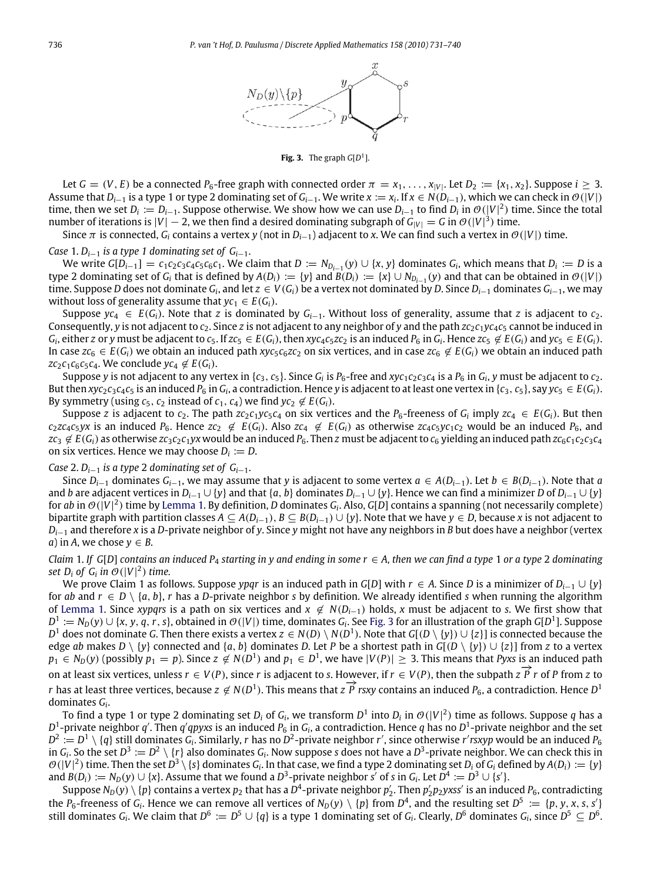

**Fig. 3.** The graph  $G[D^1]$ .

<span id="page-5-0"></span>Let  $G = (V, E)$  be a connected  $P_6$ -free graph with connected order  $\pi = x_1, \ldots, x_{|V|}$ . Let  $D_2 := \{x_1, x_2\}$ . Suppose  $i \geq 3$ . Assume that *Di*−<sup>1</sup> is a type 1 or type 2 dominating set of *Gi*−1. We write *x* := *x<sup>i</sup>* . If *x* ∈ *N*(*Di*−1), which we can check in O(|*V*|) time, then we set  $D_i := D_{i-1}$ . Suppose otherwise. We show how we can use  $D_{i-1}$  to find  $D_i$  in  $\mathcal{O}(|V|^2)$  time. Since the total number of iterations is  $|V| - 2$ , we then find a desired dominating subgraph of  $G_{|V|} = G$  in  $\mathcal{O}(|V|^3)$  time.

Since  $\pi$  is connected,  $G_i$  contains a vertex  $\gamma$  (not in  $D_{i-1}$ ) adjacent to x. We can find such a vertex in  $\mathcal{O}(|V|)$  time.

*Case* 1.  $D_{i-1}$  *is a type* 1 dominating set of  $G_{i-1}$ .

We write  $G[D_{i-1}] = c_1c_2c_3c_4c_5c_6c_1$ . We claim that  $D := N_{D_{i-1}}(y) \cup \{x, y\}$  dominates  $G_i$ , which means that  $D_i := D$  is a type 2 dominating set of  $G_i$  that is defined by  $A(D_i) := \{y\}$  and  $B(D_i) := \{x\} \cup N_{D_{i-1}}(y)$  and that can be obtained in  $\mathcal{O}(|V|)$ time. Suppose *D* does not dominate  $G_i$ , and let  $z\in V(G_i)$  be a vertex not dominated by *D*. Since  $D_{i-1}$  dominates  $G_{i-1}$ , we may without loss of generality assume that  $yc_1 \in E(G_i)$ .

Suppose  $y c_4 \in E(G_i)$ . Note that *z* is dominated by  $G_{i-1}$ . Without loss of generality, assume that *z* is adjacent to  $c_2$ . Consequently, *y* is not adjacent to *c*2. Since *z* is not adjacent to any neighbor of *y* and the path *zc*2*c*1*yc*4*c*<sup>5</sup> cannot be induced in  $G_i$ , either z or y must be adjacent to  $c_5$ . If  $zc_5 \in E(G_i)$ , then  $xyz_4c_5zc_2$  is an induced  $P_6$  in  $G_i$ . Hence  $zc_5 \notin E(G_i)$  and  $yc_5 \in E(G_i)$ . In case  $zc_6$  ∈  $E(G_i)$  we obtain an induced path  $xyz_6z_6z_2$  on six vertices, and in case  $zc_6 \notin E(G_i)$  we obtain an induced path *zc*<sub>2</sub>*c*<sub>1</sub>*c*<sub>6</sub>*c*<sub>5</sub>*c*<sub>4</sub>. We conclude *yc*<sub>4</sub>  $\notin E(G_i)$ .

Suppose y is not adjacent to any vertex in {c<sub>3</sub>, c<sub>5</sub>}. Since G<sub>i</sub> is P<sub>6</sub>-free and xyc<sub>1</sub>c<sub>2</sub>c<sub>3</sub>c<sub>4</sub> is a P<sub>6</sub> in G<sub>i</sub>, y must be adjacent to c<sub>2</sub>. But then xyc<sub>2</sub>c<sub>3</sub>c<sub>4</sub>c<sub>5</sub> is an induced P<sub>6</sub> in G<sub>i</sub>, a contradiction. Hence y is adjacent to at least one vertex in {c<sub>3</sub>, c<sub>5</sub>}, say yc<sub>5</sub>  $\in E(G_i)$ . By symmetry (using  $c_5$ ,  $c_2$  instead of  $c_1$ ,  $c_4$ ) we find  $yc_2 \notin E(G_i)$ .

Suppose *z* is adjacent to  $c_2$ . The path  $zc_2c_1yc_5c_4$  on six vertices and the  $P_6$ -freeness of  $G_i$  imply  $zc_4 \in E(G_i)$ . But then  $c_2zc_4c_5yx$  is an induced  $P_6$ . Hence  $zc_2 \notin E(G_i)$ . Also  $zc_4 \notin E(G_i)$  as otherwise  $zc_4c_5yc_1c_2$  would be an induced  $P_6$ , and  $zc_3 \notin E(G_i)$  as otherwise  $zc_3c_2c_1yx$  would be an induced  $P_6$ . Then z must be adjacent to  $c_6$  yielding an induced path  $zc_6c_1c_2c_3c_4$ on six vertices. Hence we may choose  $D_i := D$ .

#### *Case* 2.  $D_{i-1}$  *is a type* 2 *dominating set of G*<sub>*i*−1</sub>.

Since  $D_{i-1}$  dominates  $G_{i-1}$ , we may assume that *y* is adjacent to some vertex  $a \in A(D_{i-1})$ . Let  $b \in B(D_{i-1})$ . Note that *a* and *b* are adjacent vertices in  $D_{i-1} \cup \{y\}$  and that  $\{a, b\}$  dominates  $D_{i-1} \cup \{y\}$ . Hence we can find a minimizer *D* of  $D_{i-1} \cup \{y\}$ for  $ab$  in  $\mathcal{O}(|V|^2)$  time by [Lemma 1.](#page-2-0) By definition, D dominates  $G_i$ . Also, G[D] contains a spanning (not necessarily complete) bipartite graph with partition classes  $A ⊆ A(D_{i-1}), B ⊆ B(D_{i-1}) ∪ {y}$ . Note that we have  $y ∈ D$ , because *x* is not adjacent to *D*<sub>*i*−1</sub> and therefore *x* is a *D*-private neighbor of *y*. Since *y* might not have any neighbors in *B* but does have a neighbor (vertex *a*) in *A*, we chose  $y \in B$ .

*Claim* 1. If  $G[D]$  *contains an induced*  $P_4$  *starting in y and ending in some*  $r \in A$ , *then we can find a type* 1 *or a type* 2 *dominating* set  $D_i$  of  $G_i$  in  $\mathcal{O}(|V|^2)$  time.

We prove Claim 1 as follows. Suppose *ypqr* is an induced path in *G*[*D*] with *r* ∈ *A*. Since *D* is a minimizer of *Di*−<sup>1</sup> ∪ {*y*} for *ab* and  $r \in D \setminus \{a, b\}$ , *r* has a *D*-private neighbor *s* by definition. We already identified *s* when running the algorithm of [Lemma 1.](#page-2-0) Since *xypqrs* is a path on six vertices and  $x \notin N(D_{i-1})$  holds, *x* must be adjacent to *s*. We first show that  $D^1:=N_D(y)\cup \{x,y,q,r,s\}$ , obtained in  $\mathcal{O}(|V|)$  time, dominates  $G_i$ . See [Fig. 3](#page-5-0) for an illustration of the graph G[D<sup>1</sup>]. Suppose *D* <sup>1</sup> does not dominate *G*. Then there exists a vertex *z* ∈ *N*(*D*) \ *N*(*D* 1 ). Note that *G*[(*D* \ {*y*}) ∪ {*z*}] is connected because the edge *ab* makes  $D \setminus \{y\}$  connected and  $\{a, b\}$  dominates D. Let P be a shortest path in  $G(D \setminus \{y\}) \cup \{z\}$  from *z* to a vertex  $p_1 \in N_D(y)$  (possibly  $p_1 = p$ ). Since  $z \notin N(D^1)$  and  $p_1 \in D^1$ , we have  $|V(P)| \ge 3$ . This means that *Pyxs* is an induced path on at least six vertices, unless  $r \in V(P)$ , since *r* is adjacent to *s*. However, if  $r \in V(P)$ , then the subpath  $z \overrightarrow{P} r$  of *P* from *z* to *p* and *P* and *P* r of *P* from *z* to *r* has at least six vertices, unless  $P \in V(P)$ , since  $P$  is adjacent to strow vert, if  $P \in V(P)$ , then the subpatifies  $P \cap P$  rome  $P$  is the property of  $P$  rome *D*<sup>1</sup> dominates *G<sup>i</sup>* .

To find a type 1 or type 2 dominating set  $D_i$  of  $G_i$ , we transform  $D^1$  into  $D_i$  in  $\mathcal{O}(|V|^2)$  time as follows. Suppose  $q$  has a  $D^1$ -private neighbor  $q'$ . Then  $q'qpyxs$  is an induced  $P_6$  in  $G_i$ , a contradiction. Hence  $q$  has no  $D^1$ -private neighbor and the set  $D^2:=D^1\setminus\{q\}$  still dominates  $G_i$ . Similarly, *r* has no  $D^2$ -private neighbor *r'*, since otherwise *r'* rsxyp would be an induced  $P_6$ in  $G_i$ . So the set  $D^3:=D^2\setminus\{r\}$  also dominates  $G_i$ . Now suppose  $s$  does not have a  $D^3$ -private neighbor. We can check this in  $\mathcal{O}(|V|^2)$  time. Then the set  $D^3\setminus\{s\}$  dominates  $G_i$ . In that case, we find a type 2 dominating set  $D_i$  of  $G_i$  defined by  $A(D_i) := \{y\}$ and  $B(D_i) := N_D(y) \cup \{x\}$ . Assume that we found a  $D^3$ -private neighbor *s'* of *s* in  $G_i$ . Let  $D^4 := D^3 \cup \{s'\}$ .

Suppose  $N_D(y)\setminus\{p\}$  contains a vertex  $p_2$  that has a  $\bar{D}^4$ -private neighbor  $p_2'$ . Then  $p_2'p_2y$ xss' is an induced  $P_6$ , contradicting the P<sub>6</sub>-freeness of G<sub>i</sub>. Hence we can remove all vertices of  $N_D(y) \setminus \{p\}$  from  $D^4$ , and the resulting set  $D^5 := \{p, y, x, s, s'\}$ still dominates  $G_i$ . We claim that  $D^6:=D^5\cup\{q\}$  is a type 1 dominating set of  $G_i$ . Clearly,  $D^6$  dominates  $G_i$ , since  $D^5\subseteq D^6$ .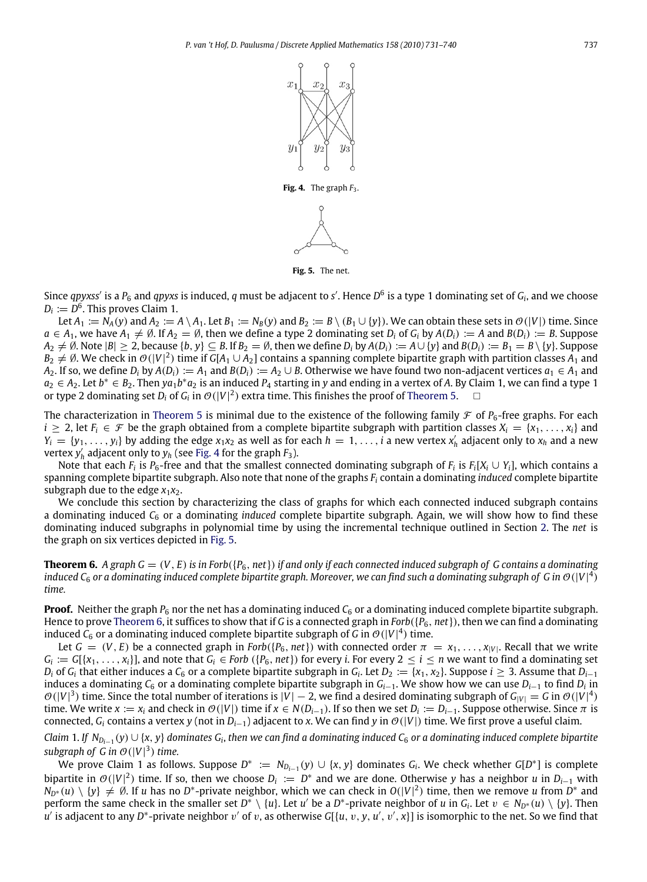

**Fig. 5.** The net.

<span id="page-6-1"></span><span id="page-6-0"></span>Since  $q$ pyxss' is a P<sub>6</sub> and  $q$ pyxs is induced,  $q$  must be adjacent to s'. Hence D<sup>6</sup> is a type 1 dominating set of  $G_i$ , and we choose  $D_i \coloneqq D^6$ . This proves Claim 1.

Let  $A_1 := N_A(y)$  and  $A_2 := A \setminus A_1$ . Let  $B_1 := N_B(y)$  and  $B_2 := B \setminus (B_1 \cup \{y\})$ . We can obtain these sets in  $\mathcal{O}(|V|)$  time. Since  $a \in A_1$ , we have  $A_1 \neq \emptyset$ . If  $A_2 = \emptyset$ , then we define a type 2 dominating set  $D_i$  of  $G_i$  by  $A(D_i) := A$  and  $B(D_i) := B$ . Suppose  $A_2 \neq \emptyset$ . Note  $|B| \geq 2$ , because  $\{b, y\} \subseteq B$ . If  $B_2 = \emptyset$ , then we define  $D_i$  by  $A(D_i) := A \cup \{y\}$  and  $B(D_i) := B_1 = B \setminus \{y\}$ . Suppose  $B_2\neq\emptyset$ . We check in  $\mathcal{O}(|V|^2)$  time if  $G[A_1\cup A_2]$  contains a spanning complete bipartite graph with partition classes  $A_1$  and *A*<sub>2</sub>. If so, we define *D*<sub>*i*</sub> by *A*(*D*<sub>*i*</sub>) := *A*<sub>1</sub> and *B*(*D*<sub>*i*</sub>) := *A*<sub>2</sub> ∪ *B*. Otherwise we have found two non-adjacent vertices  $a_1 \in A_1$  and  $a_2 \in A_2$ . Let  $b^* \in B_2$ . Then  $ya_1b^*a_2$  is an induced  $P_4$  starting in y and ending in a vertex of A. By Claim 1, we can find a type 1 or type 2 dominating set  $D_i$  of  $G_i$  in  $\mathcal{O}(|V|^2)$  extra time. This finishes the proof of [Theorem 5.](#page-1-3)  $\hskip10mm \square$ 

The characterization in [Theorem 5](#page-1-3) is minimal due to the existence of the following family  $\mathcal F$  of  $P_6$ -free graphs. For each *i* ≥ 2, let  $F_i$  ∈  $\mathcal F$  be the graph obtained from a complete bipartite subgraph with partition classes  $X_i$  = { $x_1, \ldots, x_i$ } and  $Y_i = \{y_1, \ldots, y_i\}$  by adding the edge  $x_1x_2$  as well as for each  $h = 1, \ldots, i$  a new vertex  $x'_h$  adjacent only to  $x_h$  and a new vertex  $y'_h$  adjacent only to  $y_h$  (see [Fig. 4](#page-6-0) for the graph  $F_3$ ).

Note that each  $F_i$  is  $P_6$ -free and that the smallest connected dominating subgraph of  $F_i$  is  $F_i[X_i \cup Y_i]$ , which contains a spanning complete bipartite subgraph. Also note that none of the graphs *F<sup>i</sup>* contain a dominating *induced* complete bipartite subgraph due to the edge  $x_1x_2$ .

We conclude this section by characterizing the class of graphs for which each connected induced subgraph contains a dominating induced *C*<sup>6</sup> or a dominating *induced* complete bipartite subgraph. Again, we will show how to find these dominating induced subgraphs in polynomial time by using the incremental technique outlined in Section [2.](#page-2-1) The *net* is the graph on six vertices depicted in [Fig. 5.](#page-6-1)

<span id="page-6-2"></span>**Theorem 6.** A graph  $G = (V, E)$  is in Forb $(\{P_6, net\})$  if and only if each connected induced subgraph of G contains a dominating induced C<sub>6</sub> or a dominating induced complete bipartite graph. Moreover, we can find such a dominating subgraph of G in  $\mathcal{O}(|V|^4)$ *time.*

**Proof.** Neither the graph  $P_6$  nor the net has a dominating induced  $C_6$  or a dominating induced complete bipartite subgraph. Hence to prove [Theorem 6,](#page-6-2) it suffices to show that if *G* is a connected graph in *Forb*({*P*6, *net*}), then we can find a dominating induced  $\mathsf{C}_6$  or a dominating induced complete bipartite subgraph of G in  $\mathcal{O}(|V|^4)$  time.

Let  $G = (V, E)$  be a connected graph in *Forb*({ $P_6$ , *net*}) with connected order  $\pi = x_1, \ldots, x_{|V|}$ . Recall that we write  $G_i := G[\{x_1,\ldots,x_i\}]$ , and note that  $G_i \in$  Forb  $(\{P_6,net\})$  for every i. For every  $2 \leq i \leq n$  we want to find a dominating set  $D_i$  of  $G_i$  that either induces a  $C_6$  or a complete bipartite subgraph in  $G_i$ . Let  $D_2 := \{x_1, x_2\}$ . Suppose  $i \ge 3$ . Assume that  $D_{i-1}$ induces a dominating *C*<sup>6</sup> or a dominating complete bipartite subgraph in *Gi*−1. We show how we can use *Di*−<sup>1</sup> to find *D<sup>i</sup>* in  $\mathcal{O}(|V|^3)$  time. Since the total number of iterations is  $|V|-2$ , we find a desired dominating subgraph of  $G_{|V|}=G$  in  $\mathcal{O}(|V|^4)$ time. We write  $x := x_i$  and check in  $\mathcal{O}(|V|)$  time if  $x \in N(D_{i-1})$ . If so then we set  $D_i := D_{i-1}$ . Suppose otherwise. Since  $\pi$  is connected,  $G_i$  contains a vertex *y* (not in  $D_{i-1}$ ) adjacent to *x*. We can find *y* in  $\mathcal{O}(|V|)$  time. We first prove a useful claim.

 $C$ laim 1. If  $N_{D_{i-1}}(y) \cup \{x, y\}$  dominates  $G_i$ , then we can find a dominating induced  $C_6$  or a dominating induced complete bipartite subgraph of *G* in  $\mathcal{O}(|V|^3)$  time.

We prove Claim 1 as follows. Suppose  $D^* := N_{D_{i-1}}(y) \cup \{x, y\}$  dominates  $G_i$ . We check whether  $G[D^*]$  is complete bipartite in  $\mathcal{O}(|V|^2)$  time. If so, then we choose  $D_i := D^*$  and we are done. Otherwise y has a neighbor *u* in  $D_{i-1}$  with  $N_{D^*}(u)\setminus \{y\}\neq \emptyset$ . If *u* has no *D*<sup>\*</sup>-private neighbor, which we can check in  $O(|V|^2)$  time, then we remove *u* from *D*<sup>\*</sup> and perform the same check in the smaller set  $D^* \setminus \{u\}$ . Let *u'* be a  $D^*$ -private neighbor of *u* in  $G_i$ . Let  $v \in N_{D^*}(u) \setminus \{y\}$ . Then *u'* is adjacent to any *D*\*-private neighbor  $v'$  of  $v$ , as otherwise G[{*u*,  $v$ ,  $y$ ,  $u'$ ,  $v'$ , x}] is isomorphic to the net. So we find that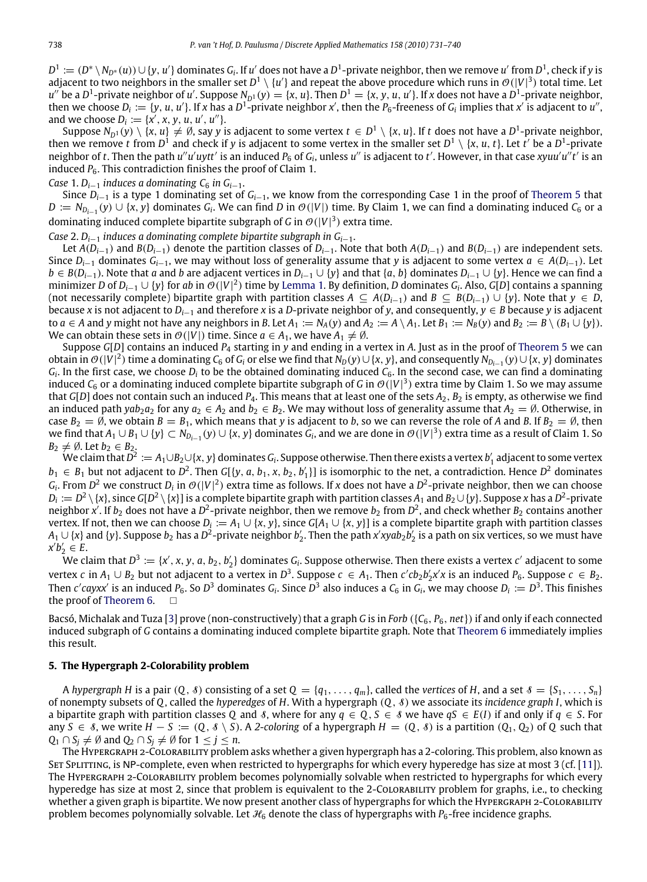$D^1:=(D^*\setminus N_{D^*}(u))\cup \{y,\,u'\}$  dominates  $G_i$ . If  $u'$  does not have a  $D^1$ -private neighbor, then we remove  $u'$  from  $D^1$ , check if y is adjacent to two neighbors in the smaller set  $D^1 \setminus \{u'\}$  and repeat the above procedure which runs in  $\mathcal{O}(|V|^3)$  total time. Let  $u''$  be a D<sup>1</sup>-private neighbor of u'. Suppose  $N_{D^1}(y) = \{x, u\}$ . Then  $D^1 = \{x, y, u, u'\}$ . If x does not have a  $D^1$ -private neighbor, then we choose  $D_i := \{y, u, u'\}$ . If x has a  $D^1$ -private neighbor x', then the  $P_6$ -freeness of  $G_i$  implies that x' is adjacent to u'', and we choose  $D_i := \{x', x, y, u, u', u''\}.$ 

Suppose  $N_{D^1}(y)\setminus\{x,u\}\neq\emptyset$ , say  $y$  is adjacent to some vertex  $t\in D^1\setminus\{x,u\}.$  If  $t$  does not have a  $D^1$ -private neighbor, then we remove *t* from  $D^1$  and check if *y* is adjacent to some vertex in the smaller set  $D^1 \setminus \{x, u, t\}$ . Let *t'* be a  $D^1$ -private neighbor of  $t$ . Then the path  $u''u'uytt'$  is an induced  $P_6$  of  $G_i$ , unless  $u''$  is adjacent to  $t'$ . However, in that case  $xyuu'u''t'$  is an induced  $P_6$ . This contradiction finishes the proof of Claim 1.

*Case* 1.  $D_{i-1}$  *induces a dominating C<sub>6</sub> <i>in G*<sub>*i*−1</sub>.

Since *Di*−<sup>1</sup> is a type 1 dominating set of *Gi*−1, we know from the corresponding Case 1 in the proof of [Theorem 5](#page-1-3) that *D* :=  $N_{D_{i-1}}(y)$  ∪ {*x*, *y*} dominates  $G_i$ . We can find *D* in  $\mathcal{O}(|V|)$  time. By Claim 1, we can find a dominating induced  $C_6$  or a dominating induced complete bipartite subgraph of *G* in  $\mathcal{O}(|V|^3)$  extra time.

*Case* 2. *Di*−<sup>1</sup> *induces a dominating complete bipartite subgraph in Gi*−1.

Let  $A(D_{i-1})$  and  $B(D_{i-1})$  denote the partition classes of  $D_{i-1}$ . Note that both  $A(D_{i-1})$  and  $B(D_{i-1})$  are independent sets. Since  $D_{i-1}$  dominates  $G_{i-1}$ , we may without loss of generality assume that *y* is adjacent to some vertex  $a \in A(D_{i-1})$ . Let *b* ∈ *B*(*D*<sub>*i*−1</sub>). Note that *a* and *b* are adjacent vertices in *D*<sub>*i*−1</sub> ∪ {*y*} and that {*a*, *b*} dominates *D*<sub>*i*−1</sub> ∪ {*y*}. Hence we can find a minimizer *D* of *Di*−<sup>1</sup> ∪ {*y*} for *ab* in O(|*V*| 2 ) time by [Lemma 1.](#page-2-0) By definition, *D* dominates *G<sup>i</sup>* . Also, *G*[*D*] contains a spanning (not necessarily complete) bipartite graph with partition classes  $A \subseteq A(D_{i-1})$  and  $B \subseteq B(D_{i-1}) \cup \{y\}$ . Note that  $y \in D$ , because *x* is not adjacent to *Di*−<sup>1</sup> and therefore *x* is a *D*-private neighbor of *y*, and consequently, *y* ∈ *B* because *y* is adjacent to  $a \in A$  and y might not have any neighbors in B. Let  $A_1 := N_A(y)$  and  $A_2 := A \setminus A_1$ . Let  $B_1 := N_B(y)$  and  $B_2 := B \setminus (B_1 \cup \{y\})$ . We can obtain these sets in  $\mathcal{O}(|V|)$  time. Since  $a \in A_1$ , we have  $A_1 \neq \emptyset$ .

Suppose *G*[*D*] contains an induced *P*<sup>4</sup> starting in *y* and ending in a vertex in *A*. Just as in the proof of [Theorem 5](#page-1-3) we can obtain in  $\mathcal{O}(|V|^2)$  time a dominating  $\mathcal{C}_6$  of  $G_i$  or else we find that  $N_D(y)\cup\{x,y\}$ , and consequently  $N_{D_{i-1}}(y)\cup\{x,y\}$  dominates *Gi* . In the first case, we choose *D<sup>i</sup>* to be the obtained dominating induced *C*6. In the second case, we can find a dominating induced  $C_6$  or a dominating induced complete bipartite subgraph of G in  $\mathcal{O}(|V|^3)$  extra time by Claim 1. So we may assume that *G*[*D*] does not contain such an induced  $P_4$ . This means that at least one of the sets  $A_2$ ,  $B_2$  is empty, as otherwise we find an induced path *yab*<sub>2</sub> $a_2$  for any  $a_2 \in A_2$  and  $b_2 \in B_2$ . We may without loss of generality assume that  $A_2 = \emptyset$ . Otherwise, in case  $B_2 = \emptyset$ , we obtain  $B = B_1$ , which means that y is adjacent to *b*, so we can reverse the role of *A* and *B*. If  $B_2 = \emptyset$ , then we find that  $A_1\cup B_1\cup \{y\}\subset N_{D_{i-1}}(y)\cup \{x,y\}$  dominates  $G_i$ , and we are done in  $\mathcal{O}(|V|^3)$  extra time as a result of Claim 1. So  $B_2 \neq \emptyset$ . Let  $b_2 \in B_2$ .

 $W$ e claim that  $\bar{D^2}:=A_1\cup B_2\cup\{x,y\}$  dominates  $G_i$ . Suppose otherwise. Then there exists a vertex  $b_1'$  adjacent to some vertex *b*<sub>1</sub> ∈ *B*<sub>1</sub> but not adjacent to *D*<sup>2</sup>. Then *G*[{*y*, *a*, *b*<sub>1</sub>, *x*, *b*<sub>2</sub>, *b*<sup>1</sup><sub>1</sub>}] is isomorphic to the net, a contradiction. Hence *D*<sup>2</sup> dominates  $G_i$ . From  $D^2$  we construct  $D_i$  in  $\mathcal{O}(|V|^2)$  extra time as follows. If *x* does not have a  $D^2$ -private neighbor, then we can choose  $D_i:=D^2\setminus\{x\}$ , since  $G[D^2\setminus\{x\}]$  is a complete bipartite graph with partition classes  $A_1$  and  $B_2\cup\{y\}$ . Suppose  $x$  has a  $D^2$ -private neighbor x<sup>'</sup>. If  $b_2$  does not have a D<sup>2</sup>-private neighbor, then we remove  $b_2$  from D<sup>2</sup>, and check whether  $B_2$  contains another vertex. If not, then we can choose  $D_i := A_1 \cup \{x, y\}$ , since  $G[A_1 \cup \{x, y\}]$  is a complete bipartite graph with partition classes *A*<sub>1</sub>∪{*x*} and {*y*}. Suppose *b*<sub>2</sub> has a *D*<sup>2</sup>-private neighbor *b*'<sub>2</sub>. Then the path *x'xyab*<sub>2</sub>*b*'<sub>2</sub> is a path on six vertices, so we must have  $x'b'_2 \in E$ .

We claim that  $D^3:=\{x',x,y,a,b_2,b_2'\}$  dominates  $G_i$ . Suppose otherwise. Then there exists a vertex  $c'$  adjacent to some vertex c in  $A_1 \cup B_2$  but not adjacent to a vertex in  $D^3$ . Suppose  $c \in A_1$ . Then  $c'cb_2b'_2x'x$  is an induced  $P_6$ . Suppose  $c \in B_2$ . Then *c'* cayxx' is an induced *P*<sub>6</sub>. So *D*<sup>3</sup> dominates *G*<sub>*i*</sub>. Since *D*<sup>3</sup> also induces a *C*<sub>6</sub> in *G*<sub>*i*</sub>, we may choose *D*<sub>*i*</sub> := *D*<sup>3</sup>. This finishes the proof of [Theorem 6.](#page-6-2)  $\Box$ 

Bacsó, Michalak and Tuza [\[3\]](#page-9-9) prove (non-constructively) that a graph *G* is in *Forb* ( $\{C_6, P_6, net\}$ ) if and only if each connected induced subgraph of *G* contains a dominating induced complete bipartite graph. Note that [Theorem 6](#page-6-2) immediately implies this result.

#### <span id="page-7-0"></span>**5. The Hypergraph 2-Colorability problem**

A *hypergraph H* is a pair  $(Q, \delta)$  consisting of a set  $Q = \{q_1, \ldots, q_m\}$ , called the *vertices* of *H*, and a set  $\delta = \{S_1, \ldots, S_n\}$ of nonempty subsets of *Q*, called the *hyperedges* of *H*. With a hypergraph (*Q*, S) we associate its *incidence graph I*, which is a bipartite graph with partition classes Q and *§*, where for any  $q \in Q$ ,  $S \in \mathcal{S}$  we have  $qS \in E(I)$  if and only if  $q \in S$ . For any *S* ∈ 8, we write *H* − *S* := (*Q*,  $\delta \setminus S$ ). A 2-coloring of a hypergraph *H* = (*Q*,  $\delta$ ) is a partition (*Q*<sub>1</sub>, *Q*<sub>2</sub>) of *Q* such that *Q*<sub>1</sub> ∩ *S*<sub>*j*</sub>  $\neq$  Ø and *Q*<sub>2</sub> ∩ *S*<sub>*j*</sub>  $\neq$  Ø for 1 ≤ *j* ≤ *n*.

The Hypergraph 2-Colorability problem asks whether a given hypergraph has a 2-coloring. This problem, also known as SET SPLITTING, is NP-complete, even when restricted to hypergraphs for which every hyperedge has size at most 3 (cf. [\[11\]](#page-9-10)). The Hypergraph 2-Colorability problem becomes polynomially solvable when restricted to hypergraphs for which every hyperedge has size at most 2, since that problem is equivalent to the 2-CoLORABILITY problem for graphs, i.e., to checking whether a given graph is bipartite. We now present another class of hypergraphs for which the Hypergraphs 2-Colorability problem becomes polynomially solvable. Let  $H_6$  denote the class of hypergraphs with  $P_6$ -free incidence graphs.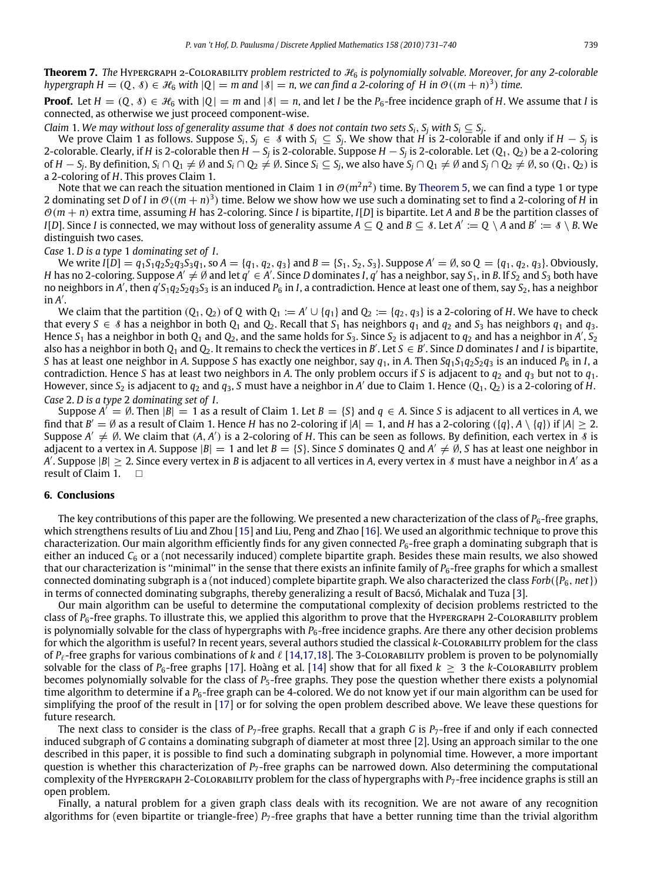**Theorem 7.** *The* Hypergraph 2-Colorability *problem restricted to* H<sup>6</sup> *is polynomially solvable. Moreover, for any 2-colorable hypergraph H* =  $(Q, \delta) \in \mathcal{H}_6$  *with*  $|Q| = m$  and  $|\delta| = n$ , we can find a 2-coloring of H in  $\mathcal{O}((m+n)^3)$  time.

**Proof.** Let  $H = (Q, \delta) \in \mathcal{H}_6$  with  $|Q| = m$  and  $|\delta| = n$ , and let *I* be the  $P_6$ -free incidence graph of *H*. We assume that *I* is connected, as otherwise we just proceed component-wise.

*Claim* 1. We may without loss of generality assume that  $\ell$  does not contain two sets  $S_i$ ,  $S_j$  with  $S_i \subseteq S_j$ .

We prove Claim 1 as follows. Suppose  $S_i, S_j \in \S$  with  $S_i \subseteq S_j$ . We show that  $H$  is 2-colorable if and only if  $H-S_j$  is 2-colorable. Clearly, if *H* is 2-colorable then *H* − *S<sup>j</sup>* is 2-colorable. Suppose *H* − *S<sup>j</sup>* is 2-colorable. Let (*Q*1, *Q*2) be a 2-coloring of  $H-S_j$ . By definition,  $S_i\cap Q_1\neq\emptyset$  and  $S_i\cap Q_2\neq\emptyset$ . Since  $S_i\subseteq S_j$ , we also have  $S_j\cap Q_1\neq\emptyset$  and  $S_j\cap Q_2\neq\emptyset$ , so  $(Q_1,Q_2)$  is a 2-coloring of *H*. This proves Claim 1.

Note that we can reach the situation mentioned in Claim 1 in  $\mathcal{O}(m^2n^2)$  time. By [Theorem 5,](#page-1-3) we can find a type 1 or type 2 dominating set *D* of *I* in  $O((m+n)^3)$  time. Below we show how we use such a dominating set to find a 2-coloring of *H* in  $\mathcal{O}(m + n)$  extra time, assuming *H* has 2-coloring. Since *I* is bipartite, *I*[*D*] is bipartite. Let *A* and *B* be the partition classes of *I*[*D*]. Since *I* is connected, we may without loss of generality assume  $A \subseteq Q$  and  $B \subseteq S$ . Let  $A' := Q \setminus A$  and  $B' := S \setminus B$ . We distinguish two cases.

*Case* 1. *D is a type* 1 *dominating set of I*.

We write  $I[D] = q_1S_1q_2S_2q_3S_3q_1$ , so  $A = \{q_1, q_2, q_3\}$  and  $B = \{S_1, S_2, S_3\}$ . Suppose  $A' = \emptyset$ , so  $Q = \{q_1, q_2, q_3\}$ . Obviously, *H* has no 2-coloring. Suppose  $A'\neq\emptyset$  and let  $q'\in A'$ . Since *D* dominates *I*,  $q'$  has a neighbor, say  $S_1$ , in *B*. If  $S_2$  and  $S_3$  both have no neighbors in *A* 0 , then *q* 0 *S*1*q*2*S*2*q*3*S*<sup>3</sup> is an induced *P*<sup>6</sup> in *I*, a contradiction. Hence at least one of them, say *S*2, has a neighbor  $in A'.$ 

We claim that the partition  $(Q_1, Q_2)$  of  $Q$  with  $Q_1 := A' \cup \{q_1\}$  and  $Q_2 := \{q_2, q_3\}$  is a 2-coloring of H. We have to check that every  $S \in \mathcal{S}$  has a neighbor in both  $Q_1$  and  $Q_2$ . Recall that  $S_1$  has neighbors  $q_1$  and  $q_2$  and  $S_3$  has neighbors  $q_1$  and  $q_3$ . Hence  $S_1$  has a neighbor in both  $Q_1$  and  $Q_2$ , and the same holds for  $S_3$ . Since  $S_2$  is adjacent to  $q_2$  and has a neighbor in A',  $S_2$ also has a neighbor in both  $Q_1$  and  $Q_2$ . It remains to check the vertices in *B'*. Let  $S \in B'$ . Since *D* dominates *I* and *I* is bipartite, *S* has at least one neighbor in *A*. Suppose *S* has exactly one neighbor, say *q*1, in *A*. Then *Sq*1*S*1*q*2*S*2*q*<sup>3</sup> is an induced *P*<sup>6</sup> in *I*, a contradiction. Hence *S* has at least two neighbors in *A*. The only problem occurs if *S* is adjacent to  $q_2$  and  $q_3$  but not to  $q_1$ . However, since S<sub>2</sub> is adjacent to  $q_2$  and  $q_3$ , S must have a neighbor in A' due to Claim 1. Hence  $(Q_1,Q_2)$  is a 2-coloring of H. *Case* 2. *D is a type* 2 *dominating set of I*.

Suppose  $A' = \emptyset$ . Then  $|B| = 1$  as a result of Claim 1. Let  $B = \{S\}$  and  $q \in A$ . Since *S* is adjacent to all vertices in *A*, we find that  $B' = \emptyset$  as a result of Claim 1. Hence *H* has no 2-coloring if  $|A| = 1$ , and *H* has a 2-coloring ({*q*},  $A \setminus \{q\}$ ) if  $|A| \ge 2$ . Suppose  $A' \neq \emptyset$ . We claim that  $(A, A')$  is a 2-coloring of *H*. This can be seen as follows. By definition, each vertex in  $\emptyset$  is adjacent to a vertex in A. Suppose  $|B| = 1$  and let  $B = \{S\}$ . Since *S* dominates Q and  $A' \neq \emptyset$ , *S* has at least one neighbor in *A*'. Suppose  $|B|\geq 2$ . Since every vertex in *B* is adjacent to all vertices in *A*, every vertex in *8* must have a neighbor in *A'* as a result of Claim 1.

#### <span id="page-8-0"></span>**6. Conclusions**

The key contributions of this paper are the following. We presented a new characterization of the class of  $P_6$ -free graphs, which strengthens results of Liu and Zhou [\[15\]](#page-9-6) and Liu, Peng and Zhao [\[16\]](#page-9-7). We used an algorithmic technique to prove this characterization. Our main algorithm efficiently finds for any given connected *P*6-free graph a dominating subgraph that is either an induced  $C_6$  or a (not necessarily induced) complete bipartite graph. Besides these main results, we also showed that our characterization is "minimal" in the sense that there exists an infinite family of  $P_6$ -free graphs for which a smallest connected dominating subgraph is a (not induced) complete bipartite graph. We also characterized the class  $Forb({P_6}, net)$ ) in terms of connected dominating subgraphs, thereby generalizing a result of Bacsó, Michalak and Tuza [\[3\]](#page-9-9).

Our main algorithm can be useful to determine the computational complexity of decision problems restricted to the class of *P*<sub>6</sub>-free graphs. To illustrate this, we applied this algorithm to prove that the HYPERGRAPH 2-COLORABILITY problem is polynomially solvable for the class of hypergraphs with *P*<sub>6</sub>-free incidence graphs. Are there any other decision problems for which the algorithm is useful? In recent years, several authors studied the classical *k*-Colorability problem for the class of  $P_f$ -free graphs for various combinations of k and  $\ell$  [\[14,](#page-9-11)[17](#page-9-12)[,18\]](#page-9-13). The 3-Colorability problem is proven to be polynomially solvable for the class of  $P_6$ -free graphs [\[17\]](#page-9-12). Hoàng et al. [\[14\]](#page-9-11) show that for all fixed  $k \geq 3$  the *k*-Colorability problem becomes polynomially solvable for the class of *P*5-free graphs. They pose the question whether there exists a polynomial time algorithm to determine if a *P<sub>6</sub>*-free graph can be 4-colored. We do not know yet if our main algorithm can be used for simplifying the proof of the result in [\[17\]](#page-9-12) or for solving the open problem described above. We leave these questions for future research.

The next class to consider is the class of  $P_7$ -free graphs. Recall that a graph *G* is  $P_7$ -free if and only if each connected induced subgraph of *G* contains a dominating subgraph of diameter at most three [\[2\]](#page-9-8). Using an approach similar to the one described in this paper, it is possible to find such a dominating subgraph in polynomial time. However, a more important question is whether this characterization of *P*7-free graphs can be narrowed down. Also determining the computational complexity of the Hypergraph 2-Colorability problem for the class of hypergraphs with *P<sub>7</sub>*-free incidence graphs is still an open problem.

Finally, a natural problem for a given graph class deals with its recognition. We are not aware of any recognition algorithms for (even bipartite or triangle-free)  $P_7$ -free graphs that have a better running time than the trivial algorithm